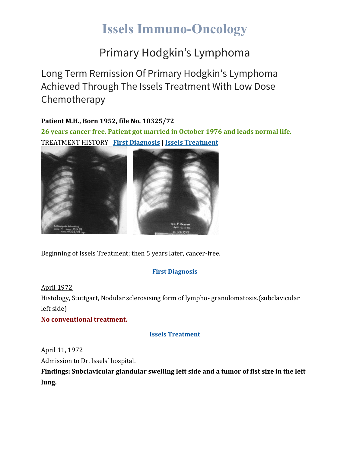# **Issels Immuno-Oncology**

### Primary Hodgkin's Lymphoma

Long Term Remission Of Primary Hodgkin's Lymphoma Achieved Through The Issels Treatment With Low Dose Chemotherapy

#### **Patient M.H., Born 1952, file No. 10325/72**

**26 years cancer free. Patient got married in October 1976 and leads normal life.** TREATMENT HISTORY **First [Diagnosis](https://issels.com/cancer-cases/lymphoma-3-primary-hodgkins-lymphoma/#First)** | **Issels [Treatment](https://issels.com/cancer-cases/lymphoma-3-primary-hodgkins-lymphoma/#Issels)**



Beginning of Issels Treatment; then 5 years later, cancer-free.

#### **First Diagnosis**

April 1972 Histology, Stuttgart, Nodular sclerosising form of lympho- granulomatosis.(subclavicular left side)

**No conventional treatment.**

#### **Issels Treatment**

April 11, 1972

Admission to Dr. Issels' hospital.

**Findings: Subclavicular glandular swelling left side and a tumor of fist size in the left lung.**